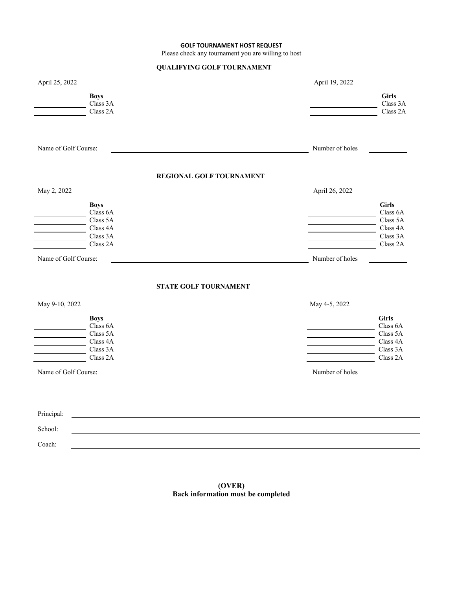## **GOLF TOURNAMENT HOST REQUEST**

Please check any tournament you are willing to host

## **QUALIFYING GOLF TOURNAMENT**

| April 25, 2022       |                                     |                              | April 19, 2022  |                                      |
|----------------------|-------------------------------------|------------------------------|-----------------|--------------------------------------|
|                      | <b>Boys</b><br>Class 3A<br>Class 2A |                              |                 | <b>Girls</b><br>Class 3A<br>Class 2A |
|                      |                                     |                              |                 |                                      |
| Name of Golf Course: |                                     |                              | Number of holes |                                      |
|                      |                                     | REGIONAL GOLF TOURNAMENT     |                 |                                      |
| May 2, 2022          |                                     |                              | April 26, 2022  |                                      |
|                      | <b>Boys</b><br>Class 6A<br>Class 5A |                              |                 | <b>Girls</b><br>Class 6A<br>Class 5A |
|                      | Class 4A                            |                              |                 | Class 4A                             |
|                      | Class 3A<br>Class 2A                |                              |                 | Class 3A<br>Class 2A                 |
| Name of Golf Course: |                                     |                              | Number of holes |                                      |
|                      |                                     | <b>STATE GOLF TOURNAMENT</b> |                 |                                      |
| May 9-10, 2022       |                                     |                              | May 4-5, 2022   |                                      |
|                      | <b>Boys</b>                         |                              |                 | <b>Girls</b>                         |
|                      | Class 6A<br>Class 5A                |                              |                 | Class 6A<br>Class 5A                 |
|                      | Class 4A<br>Class 3A                |                              |                 | Class 4A<br>Class 3A                 |
|                      | Class 2A                            |                              |                 | Class 2A                             |
| Name of Golf Course: |                                     |                              | Number of holes |                                      |
|                      |                                     |                              |                 |                                      |
|                      |                                     |                              |                 |                                      |
| Principal:           |                                     |                              |                 |                                      |
| School:              |                                     |                              |                 |                                      |
| Coach:               |                                     |                              |                 |                                      |

**(OVER) Back information must be completed**